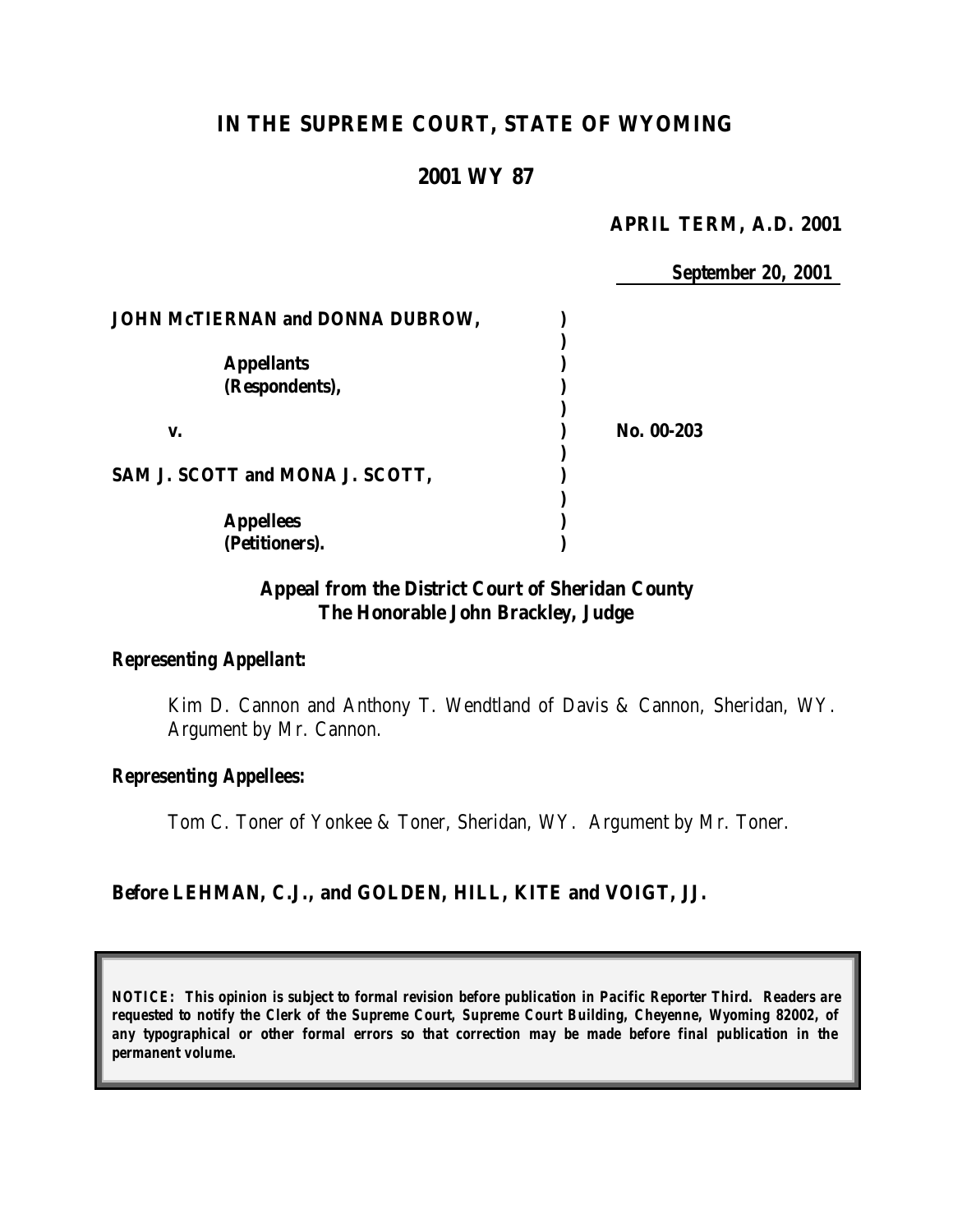# **IN THE SUPREME COURT, STATE OF WYOMING**

# **2001 WY 87**

#### **APRIL TERM, A.D. 2001**

*September 20, 2001*

| <b>JOHN McTIERNAN and DONNA DUBROW,</b> |            |
|-----------------------------------------|------------|
|                                         |            |
| <b>Appellants</b>                       |            |
| (Respondents),                          |            |
|                                         |            |
| v.                                      | No. 00-203 |
| SAM J. SCOTT and MONA J. SCOTT,         |            |
|                                         |            |
| <b>Appellees</b>                        |            |
| (Petitioners).                          |            |

## **Appeal from the District Court of Sheridan County The Honorable John Brackley, Judge**

#### *Representing Appellant:*

Kim D. Cannon and Anthony T. Wendtland of Davis & Cannon, Sheridan, WY. Argument by Mr. Cannon.

## *Representing Appellees:*

Tom C. Toner of Yonkee & Toner, Sheridan, WY. Argument by Mr. Toner.

## **Before LEHMAN, C.J., and GOLDEN, HILL, KITE and VOIGT, JJ.**

*NOTICE: This opinion is subject to formal revision before publication in Pacific Reporter Third. Readers are requested to notify the Clerk of the Supreme Court, Supreme Court Building, Cheyenne, Wyoming 82002, of any typographical or other formal errors so that correction may be made before final publication in the permanent volume.*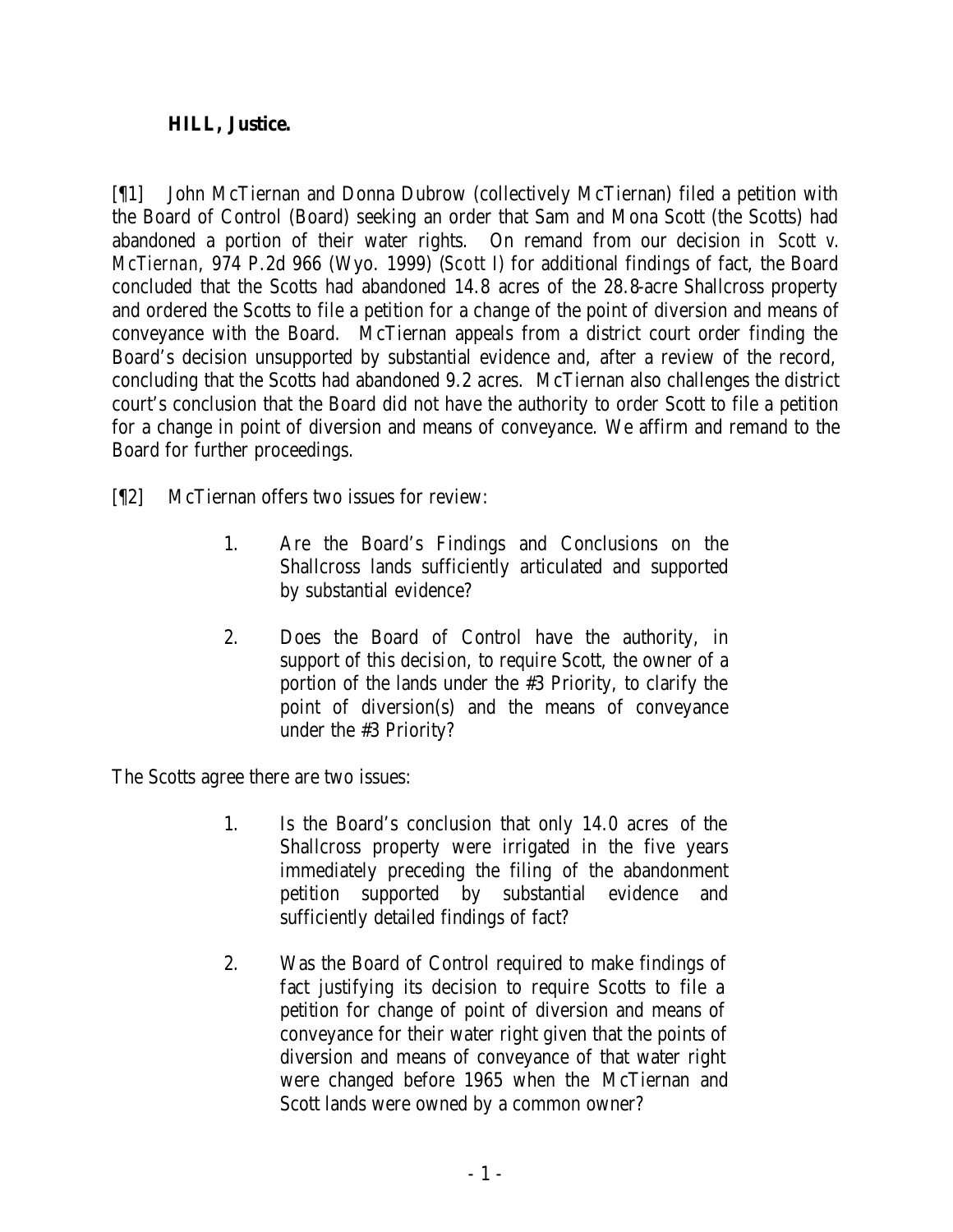## **HILL, Justice.**

[¶1] John McTiernan and Donna Dubrow (collectively McTiernan) filed a petition with the Board of Control (Board) seeking an order that Sam and Mona Scott (the Scotts) had abandoned a portion of their water rights. On remand from our decision in *Scott v. McTiernan*, 974 P.2d 966 (Wyo. 1999) (*Scott I*) for additional findings of fact, the Board concluded that the Scotts had abandoned 14.8 acres of the 28.8-acre Shallcross property and ordered the Scotts to file a petition for a change of the point of diversion and means of conveyance with the Board. McTiernan appeals from a district court order finding the Board's decision unsupported by substantial evidence and, after a review of the record, concluding that the Scotts had abandoned 9.2 acres. McTiernan also challenges the district court's conclusion that the Board did not have the authority to order Scott to file a petition for a change in point of diversion and means of conveyance. We affirm and remand to the Board for further proceedings.

- [¶2] McTiernan offers two issues for review:
	- 1. Are the Board's Findings and Conclusions on the Shallcross lands sufficiently articulated and supported by substantial evidence?
	- 2. Does the Board of Control have the authority, in support of this decision, to require Scott, the owner of a portion of the lands under the #3 Priority, to clarify the point of diversion(s) and the means of conveyance under the #3 Priority?

The Scotts agree there are two issues:

- 1. Is the Board's conclusion that only 14.0 acres of the Shallcross property were irrigated in the five years immediately preceding the filing of the abandonment petition supported by substantial evidence and sufficiently detailed findings of fact?
- 2. Was the Board of Control required to make findings of fact justifying its decision to require Scotts to file a petition for change of point of diversion and means of conveyance for their water right given that the points of diversion and means of conveyance of that water right were changed before 1965 when the McTiernan and Scott lands were owned by a common owner?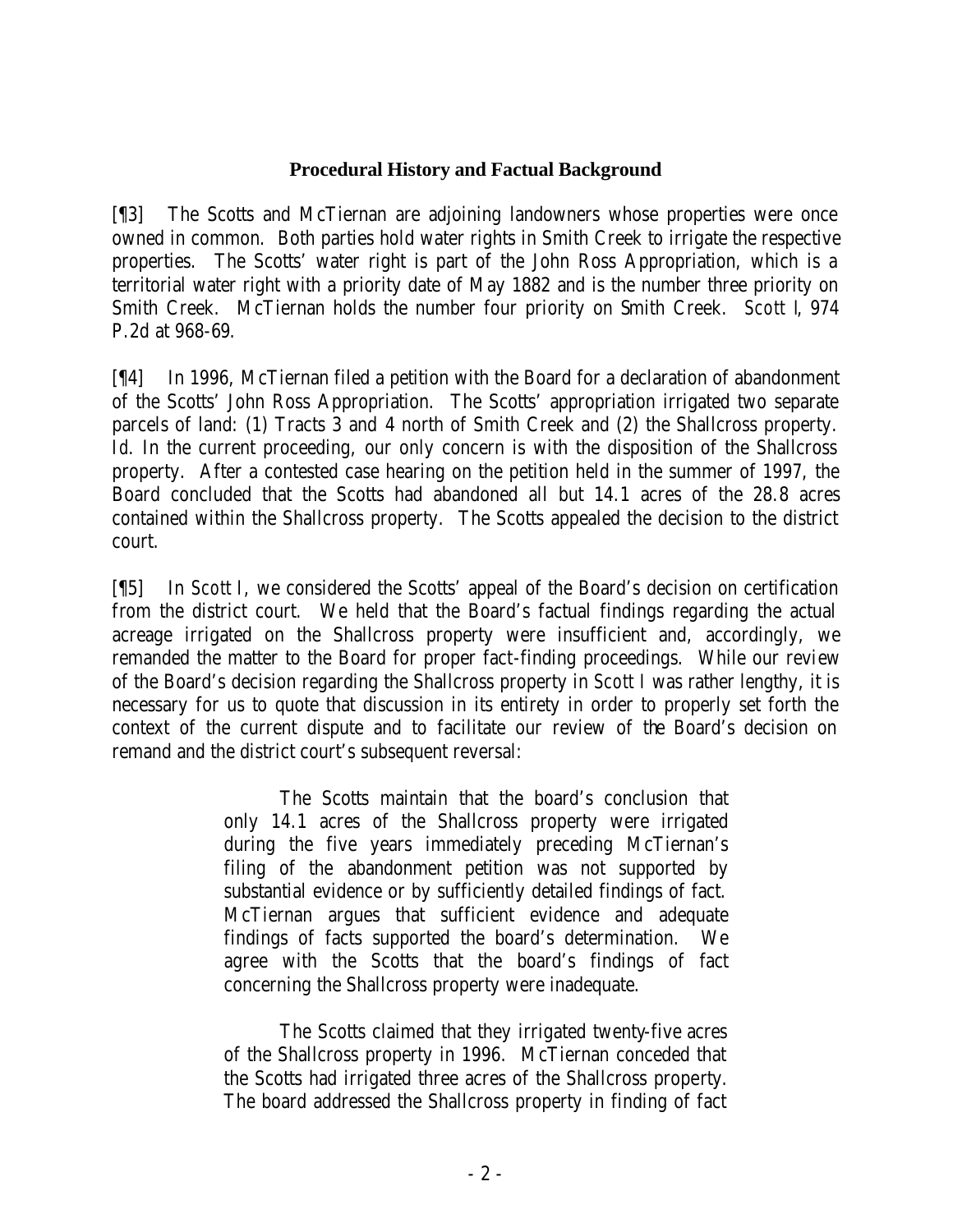#### **Procedural History and Factual Background**

[¶3] The Scotts and McTiernan are adjoining landowners whose properties were once owned in common. Both parties hold water rights in Smith Creek to irrigate the respective properties. The Scotts' water right is part of the John Ross Appropriation, which is a territorial water right with a priority date of May 1882 and is the number three priority on Smith Creek. McTiernan holds the number four priority on Smith Creek. *Scott I*, 974 P.2d at 968-69.

[¶4] In 1996, McTiernan filed a petition with the Board for a declaration of abandonment of the Scotts' John Ross Appropriation. The Scotts' appropriation irrigated two separate parcels of land: (1) Tracts 3 and 4 north of Smith Creek and (2) the Shallcross property. *Id.* In the current proceeding, our only concern is with the disposition of the Shallcross property. After a contested case hearing on the petition held in the summer of 1997, the Board concluded that the Scotts had abandoned all but 14.1 acres of the 28.8 acres contained within the Shallcross property. The Scotts appealed the decision to the district court.

[¶5] In *Scott I*, we considered the Scotts' appeal of the Board's decision on certification from the district court. We held that the Board's factual findings regarding the actual acreage irrigated on the Shallcross property were insufficient and, accordingly, we remanded the matter to the Board for proper fact-finding proceedings. While our review of the Board's decision regarding the Shallcross property in *Scott I* was rather lengthy, it is necessary for us to quote that discussion in its entirety in order to properly set forth the context of the current dispute and to facilitate our review of the Board's decision on remand and the district court's subsequent reversal:

> The Scotts maintain that the board's conclusion that only 14.1 acres of the Shallcross property were irrigated during the five years immediately preceding McTiernan's filing of the abandonment petition was not supported by substantial evidence or by sufficiently detailed findings of fact. McTiernan argues that sufficient evidence and adequate findings of facts supported the board's determination. We agree with the Scotts that the board's findings of fact concerning the Shallcross property were inadequate.

The Scotts claimed that they irrigated twenty-five acres of the Shallcross property in 1996. McTiernan conceded that the Scotts had irrigated three acres of the Shallcross property. The board addressed the Shallcross property in finding of fact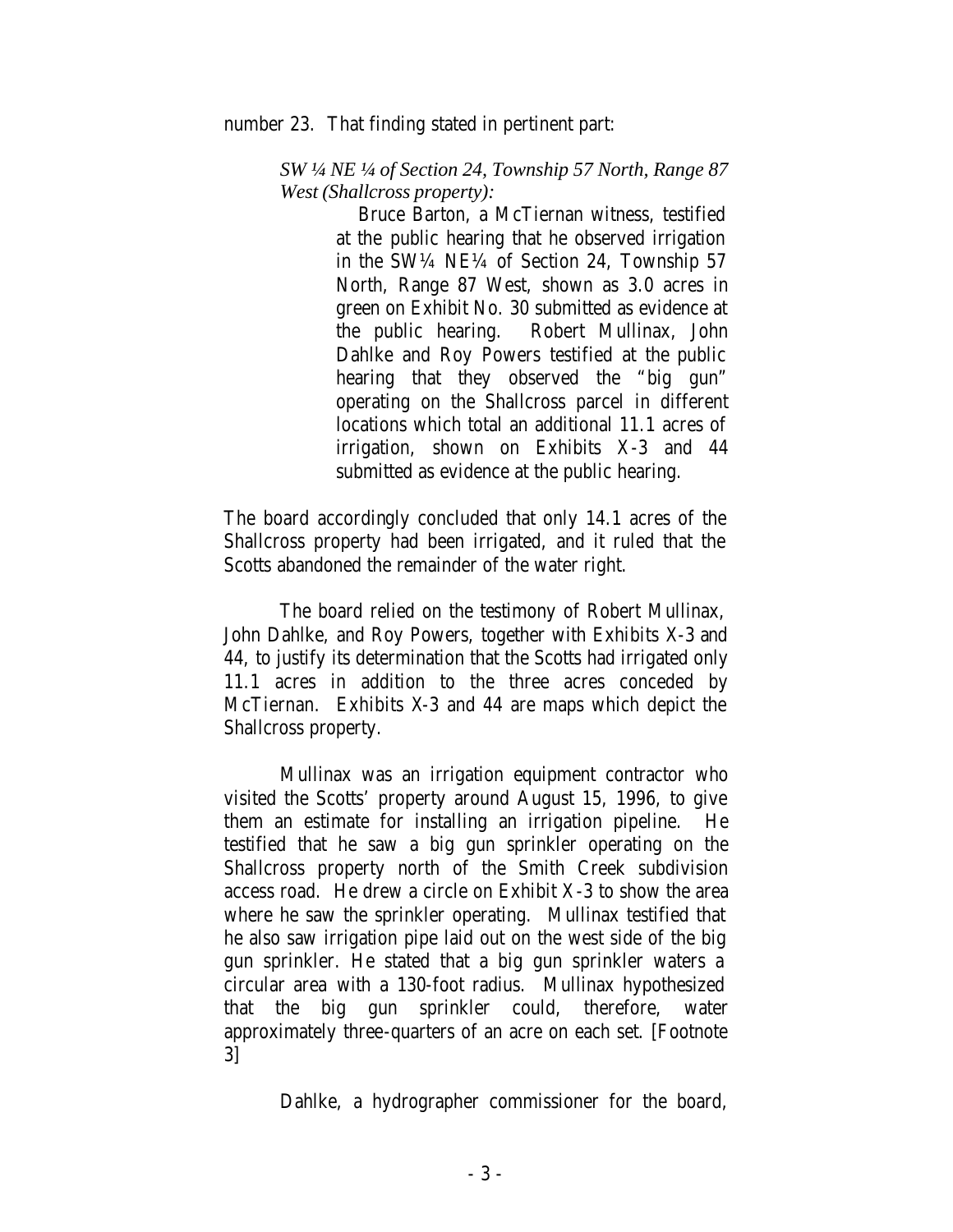number 23. That finding stated in pertinent part:

*SW ¼ NE ¼ of Section 24, Township 57 North, Range 87 West (Shallcross property):*

> Bruce Barton, a McTiernan witness, testified at the public hearing that he observed irrigation in the SW¼ NE¼ of Section 24, Township 57 North, Range 87 West, shown as 3.0 acres in green on Exhibit No. 30 submitted as evidence at the public hearing. Robert Mullinax, John Dahlke and Roy Powers testified at the public hearing that they observed the "big gun" operating on the Shallcross parcel in different locations which total an additional 11.1 acres of irrigation, shown on Exhibits X-3 and 44 submitted as evidence at the public hearing.

The board accordingly concluded that only 14.1 acres of the Shallcross property had been irrigated, and it ruled that the Scotts abandoned the remainder of the water right.

The board relied on the testimony of Robert Mullinax, John Dahlke, and Roy Powers, together with Exhibits X-3 and 44, to justify its determination that the Scotts had irrigated only 11.1 acres in addition to the three acres conceded by McTiernan. Exhibits X-3 and 44 are maps which depict the Shallcross property.

Mullinax was an irrigation equipment contractor who visited the Scotts' property around August 15, 1996, to give them an estimate for installing an irrigation pipeline. He testified that he saw a big gun sprinkler operating on the Shallcross property north of the Smith Creek subdivision access road. He drew a circle on Exhibit X-3 to show the area where he saw the sprinkler operating. Mullinax testified that he also saw irrigation pipe laid out on the west side of the big gun sprinkler. He stated that a big gun sprinkler waters a circular area with a 130-foot radius. Mullinax hypothesized that the big gun sprinkler could, therefore, water approximately three-quarters of an acre on each set. [Footnote 3]

Dahlke, a hydrographer commissioner for the board,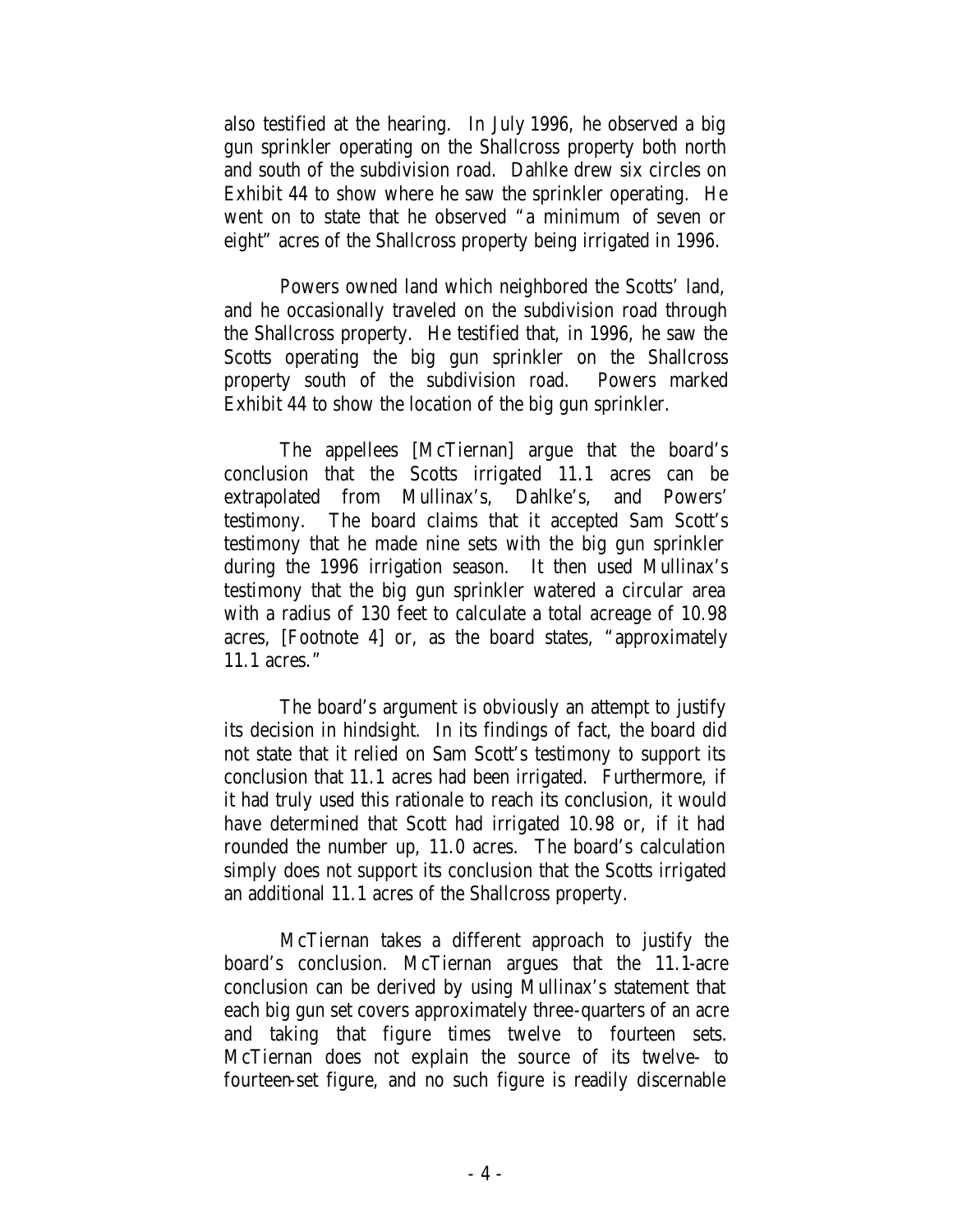also testified at the hearing. In July 1996, he observed a big gun sprinkler operating on the Shallcross property both north and south of the subdivision road. Dahlke drew six circles on Exhibit 44 to show where he saw the sprinkler operating. He went on to state that he observed "a minimum of seven or eight" acres of the Shallcross property being irrigated in 1996.

Powers owned land which neighbored the Scotts' land, and he occasionally traveled on the subdivision road through the Shallcross property. He testified that, in 1996, he saw the Scotts operating the big gun sprinkler on the Shallcross property south of the subdivision road. Powers marked Exhibit 44 to show the location of the big gun sprinkler.

The appellees [McTiernan] argue that the board's conclusion that the Scotts irrigated 11.1 acres can be extrapolated from Mullinax's, Dahlke's, and Powers' testimony. The board claims that it accepted Sam Scott's testimony that he made nine sets with the big gun sprinkler during the 1996 irrigation season. It then used Mullinax's testimony that the big gun sprinkler watered a circular area with a radius of 130 feet to calculate a total acreage of 10.98 acres, [Footnote 4] or, as the board states, "approximately 11.1 acres."

The board's argument is obviously an attempt to justify its decision in hindsight. In its findings of fact, the board did not state that it relied on Sam Scott's testimony to support its conclusion that 11.1 acres had been irrigated. Furthermore, if it had truly used this rationale to reach its conclusion, it would have determined that Scott had irrigated 10.98 or, if it had rounded the number up, 11.0 acres. The board's calculation simply does not support its conclusion that the Scotts irrigated an additional 11.1 acres of the Shallcross property.

McTiernan takes a different approach to justify the board's conclusion. McTiernan argues that the 11.1-acre conclusion can be derived by using Mullinax's statement that each big gun set covers approximately three-quarters of an acre and taking that figure times twelve to fourteen sets. McTiernan does not explain the source of its twelve- to fourteen-set figure, and no such figure is readily discernable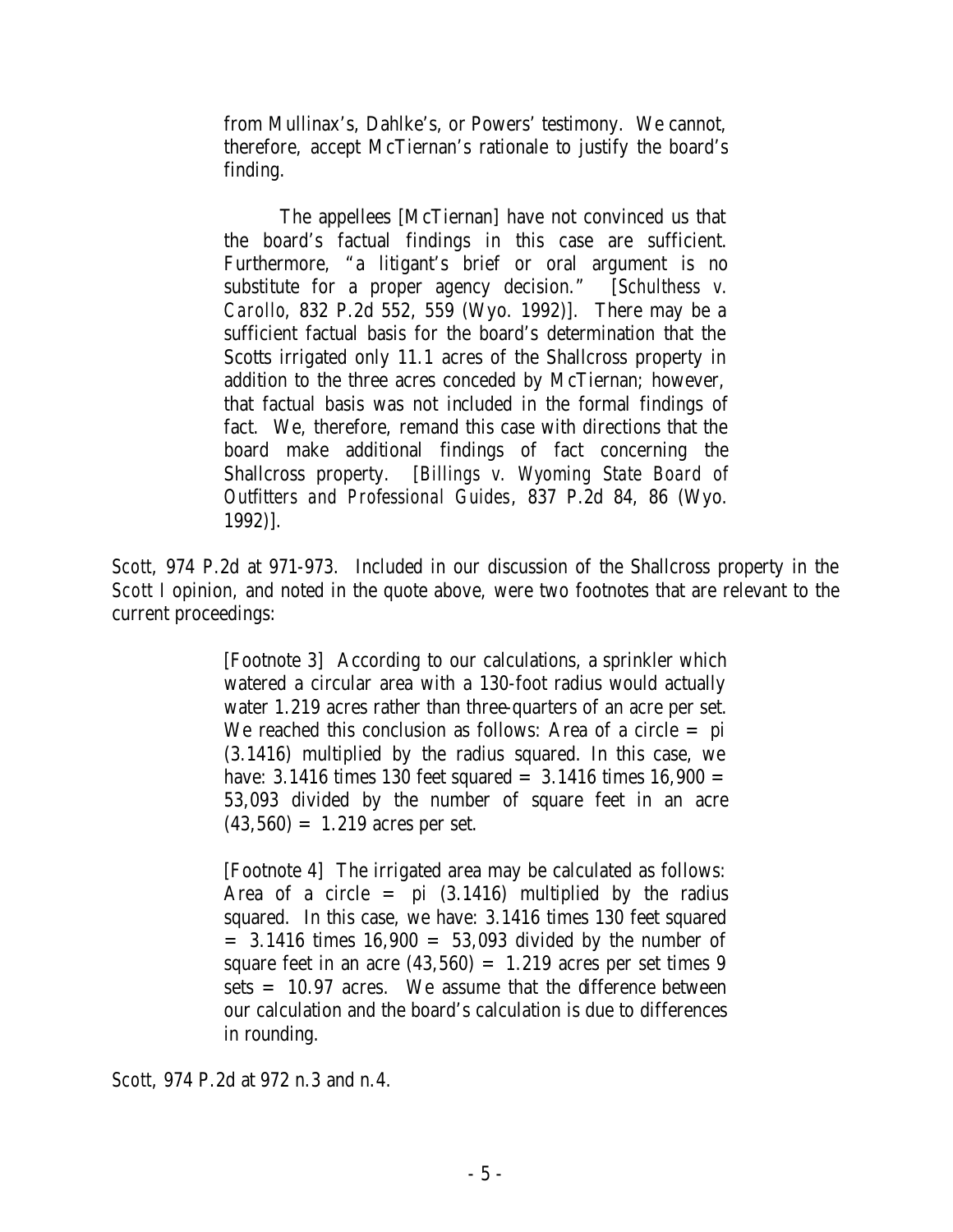from Mullinax's, Dahlke's, or Powers' testimony. We cannot, therefore, accept McTiernan's rationale to justify the board's finding.

The appellees [McTiernan] have not convinced us that the board's factual findings in this case are sufficient. Furthermore, "a litigant's brief or oral argument is no substitute for a proper agency decision." [*Schulthess v. Carollo*, 832 P.2d 552, 559 (Wyo. 1992)]. There may be a sufficient factual basis for the board's determination that the Scotts irrigated only 11.1 acres of the Shallcross property in addition to the three acres conceded by McTiernan; however, that factual basis was not included in the formal findings of fact. We, therefore, remand this case with directions that the board make additional findings of fact concerning the Shallcross property. [*Billings v. Wyoming State Board of Outfitters and Professional Guides*, 837 P.2d 84, 86 (Wyo. 1992)].

*Scott*, 974 P.2d at 971-973. Included in our discussion of the Shallcross property in the *Scott I* opinion, and noted in the quote above, were two footnotes that are relevant to the current proceedings:

> [Footnote 3] According to our calculations, a sprinkler which watered a circular area with a 130-foot radius would actually water 1.219 acres rather than three-quarters of an acre per set. We reached this conclusion as follows: Area of a circle  $=$  pi (3.1416) multiplied by the radius squared. In this case, we have: 3.1416 times 130 feet squared  $= 3.1416$  times 16,900  $=$ 53,093 divided by the number of square feet in an acre  $(43,560) = 1.219$  acres per set.

> [Footnote 4] The irrigated area may be calculated as follows: Area of a circle  $=$  pi  $(3.1416)$  multiplied by the radius squared. In this case, we have: 3.1416 times 130 feet squared  $= 3.1416$  times  $16,900 = 53,093$  divided by the number of square feet in an acre  $(43,560) = 1.219$  acres per set times 9 sets  $= 10.97$  acres. We assume that the difference between our calculation and the board's calculation is due to differences in rounding.

*Scott*, 974 P.2d at 972 n.3 and n.4.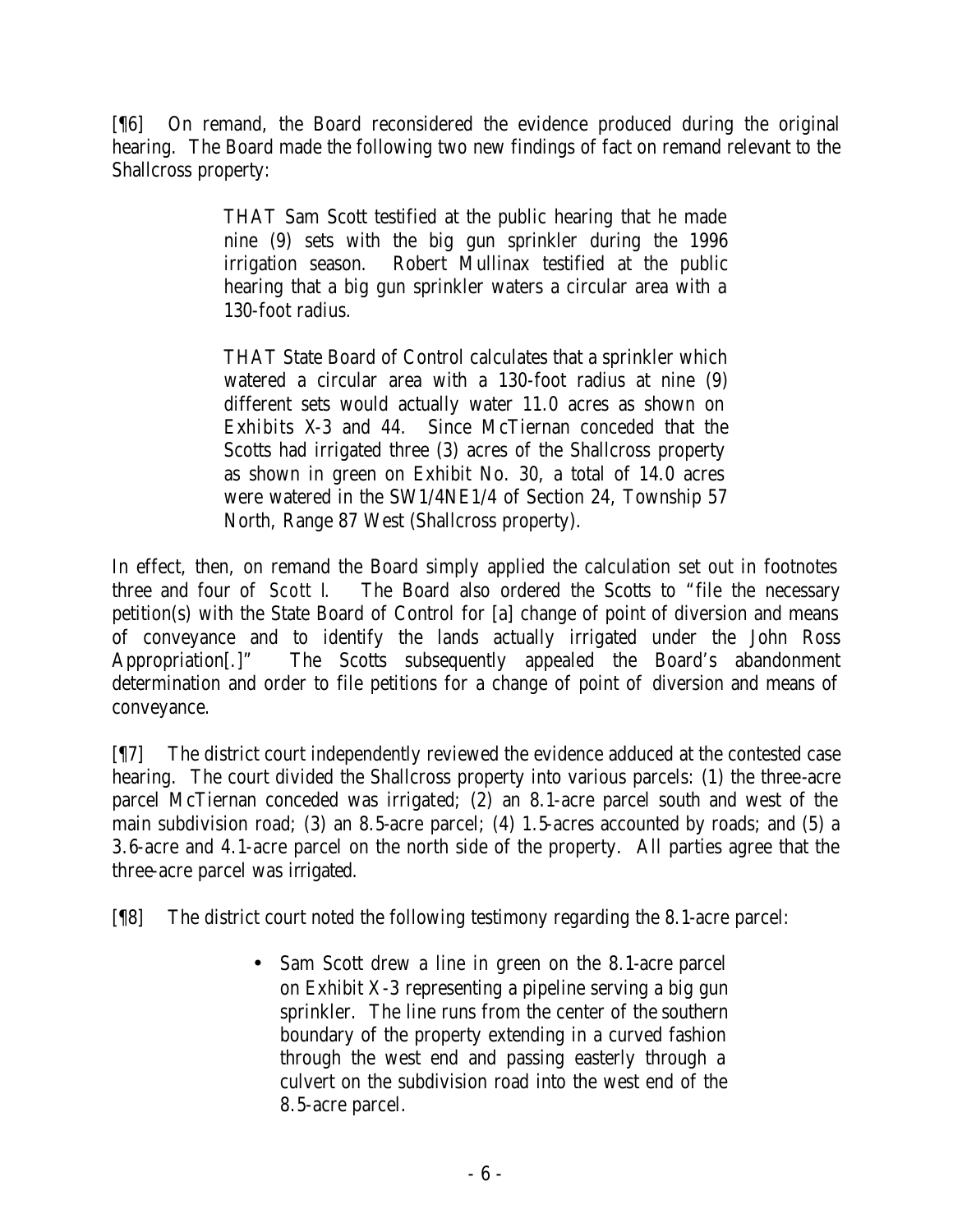[¶6] On remand, the Board reconsidered the evidence produced during the original hearing. The Board made the following two new findings of fact on remand relevant to the Shallcross property:

> THAT Sam Scott testified at the public hearing that he made nine (9) sets with the big gun sprinkler during the 1996 irrigation season. Robert Mullinax testified at the public hearing that a big gun sprinkler waters a circular area with a 130-foot radius.

> THAT State Board of Control calculates that a sprinkler which watered a circular area with a 130-foot radius at nine (9) different sets would actually water 11.0 acres as shown on Exhibits X-3 and 44. Since McTiernan conceded that the Scotts had irrigated three (3) acres of the Shallcross property as shown in green on Exhibit No. 30, a total of 14.0 acres were watered in the SW1/4NE1/4 of Section 24, Township 57 North, Range 87 West (Shallcross property).

In effect, then, on remand the Board simply applied the calculation set out in footnotes three and four of *Scott I*. The Board also ordered the Scotts to "file the necessary petition(s) with the State Board of Control for [a] change of point of diversion and means of conveyance and to identify the lands actually irrigated under the John Ross Appropriation[.]" The Scotts subsequently appealed the Board's abandonment determination and order to file petitions for a change of point of diversion and means of conveyance.

[¶7] The district court independently reviewed the evidence adduced at the contested case hearing. The court divided the Shallcross property into various parcels: (1) the three-acre parcel McTiernan conceded was irrigated; (2) an 8.1-acre parcel south and west of the main subdivision road; (3) an 8.5-acre parcel; (4) 1.5-acres accounted by roads; and (5) a 3.6-acre and 4.1-acre parcel on the north side of the property. All parties agree that the three-acre parcel was irrigated.

[¶8] The district court noted the following testimony regarding the 8.1-acre parcel:

• Sam Scott drew a line in green on the 8.1-acre parcel on Exhibit X-3 representing a pipeline serving a big gun sprinkler. The line runs from the center of the southern boundary of the property extending in a curved fashion through the west end and passing easterly through a culvert on the subdivision road into the west end of the 8.5-acre parcel.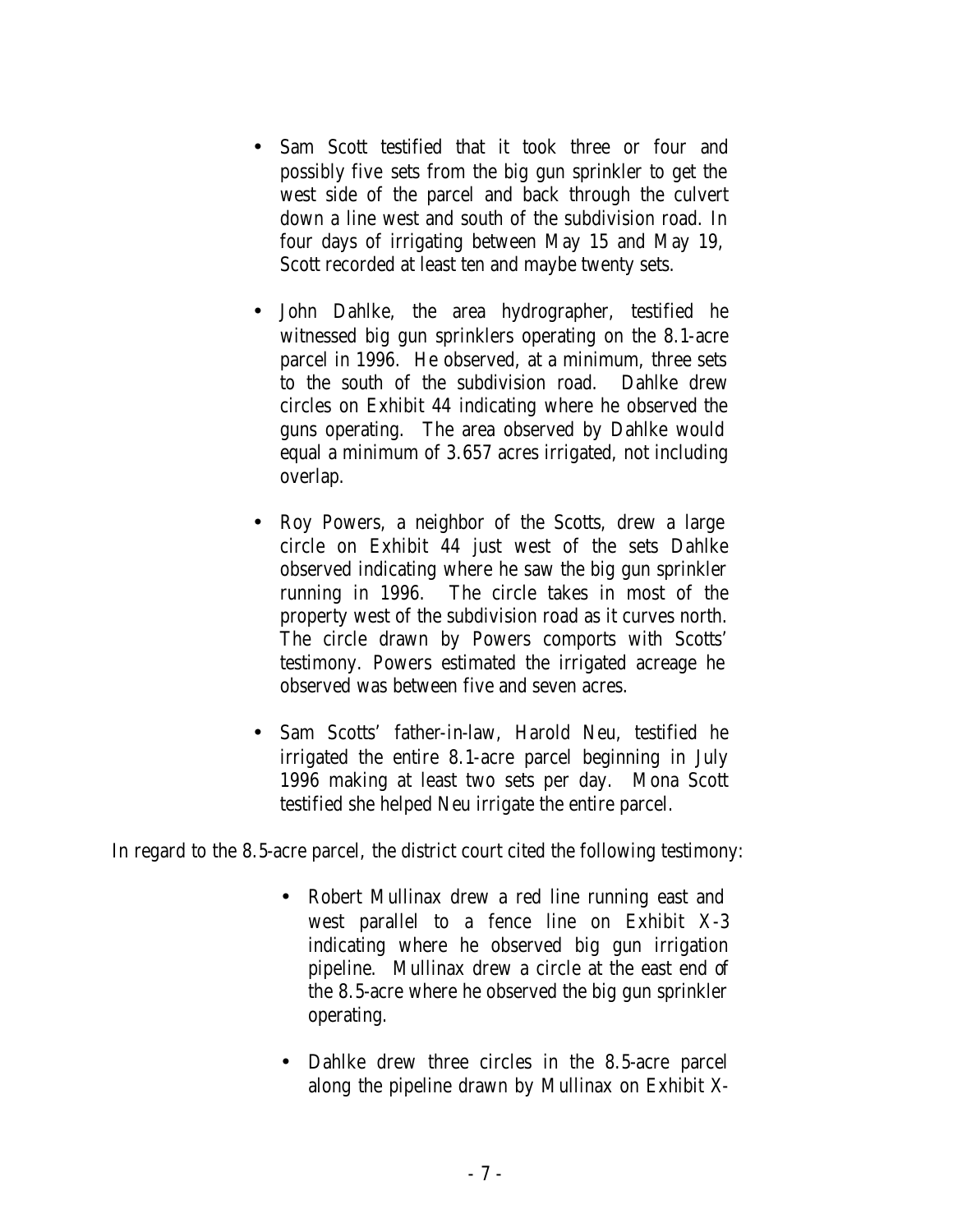- Sam Scott testified that it took three or four and possibly five sets from the big gun sprinkler to get the west side of the parcel and back through the culvert down a line west and south of the subdivision road. In four days of irrigating between May 15 and May 19, Scott recorded at least ten and maybe twenty sets.
- John Dahlke, the area hydrographer, testified he witnessed big gun sprinklers operating on the 8.1-acre parcel in 1996. He observed, at a minimum, three sets to the south of the subdivision road. Dahlke drew circles on Exhibit 44 indicating where he observed the guns operating. The area observed by Dahlke would equal a minimum of 3.657 acres irrigated, not including overlap.
- Roy Powers, a neighbor of the Scotts, drew a large circle on Exhibit 44 just west of the sets Dahlke observed indicating where he saw the big gun sprinkler running in 1996. The circle takes in most of the property west of the subdivision road as it curves north. The circle drawn by Powers comports with Scotts' testimony. Powers estimated the irrigated acreage he observed was between five and seven acres.
- Sam Scotts' father-in-law, Harold Neu, testified he irrigated the entire 8.1-acre parcel beginning in July 1996 making at least two sets per day. Mona Scott testified she helped Neu irrigate the entire parcel.

In regard to the 8.5-acre parcel, the district court cited the following testimony:

- Robert Mullinax drew a red line running east and west parallel to a fence line on Exhibit X-3 indicating where he observed big gun irrigation pipeline. Mullinax drew a circle at the east end of the 8.5-acre where he observed the big gun sprinkler operating.
- Dahlke drew three circles in the 8.5-acre parcel along the pipeline drawn by Mullinax on Exhibit X-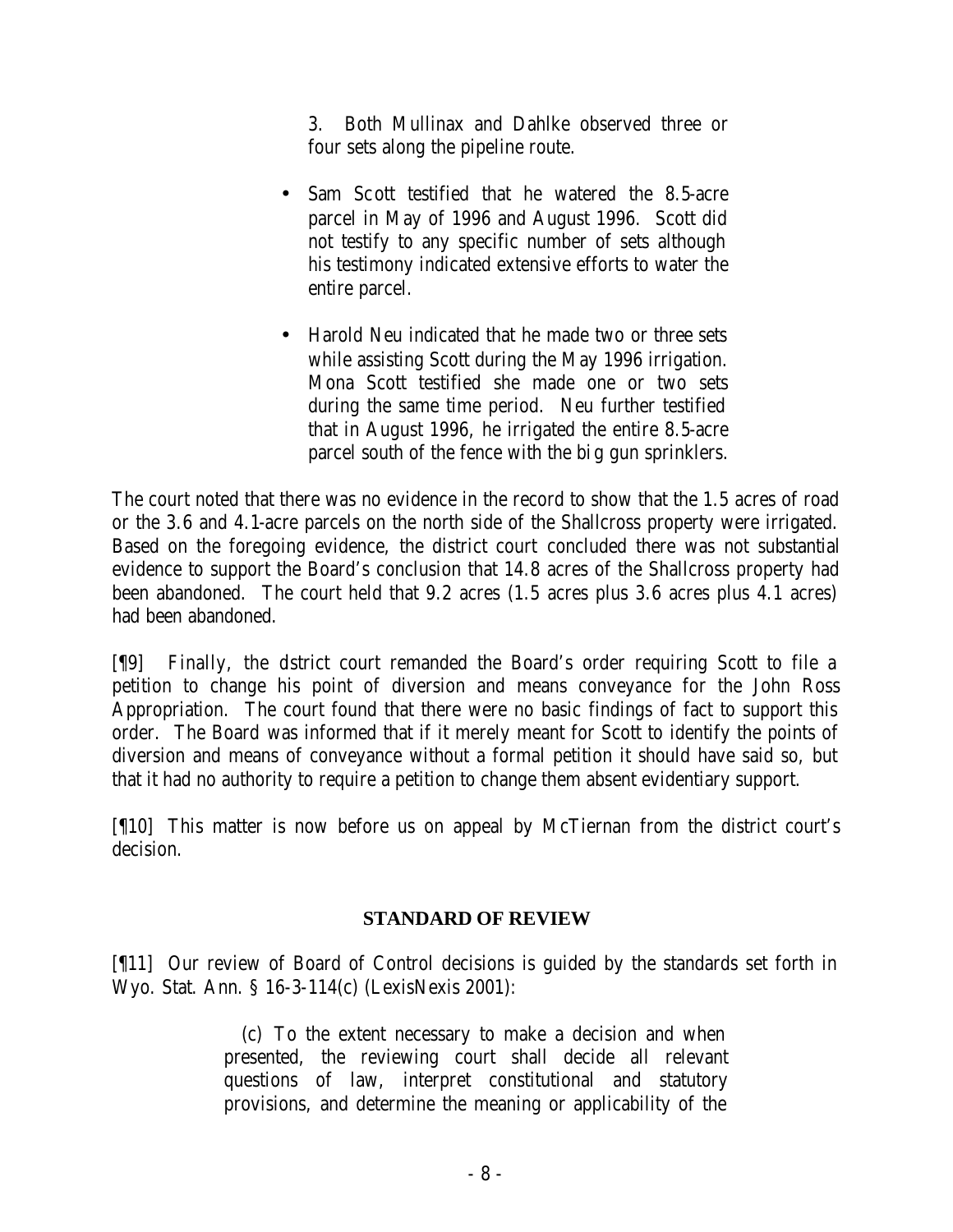3. Both Mullinax and Dahlke observed three or four sets along the pipeline route.

- Sam Scott testified that he watered the 8.5-acre parcel in May of 1996 and August 1996. Scott did not testify to any specific number of sets although his testimony indicated extensive efforts to water the entire parcel.
- Harold Neu indicated that he made two or three sets while assisting Scott during the May 1996 irrigation. Mona Scott testified she made one or two sets during the same time period. Neu further testified that in August 1996, he irrigated the entire 8.5-acre parcel south of the fence with the big gun sprinklers.

The court noted that there was no evidence in the record to show that the 1.5 acres of road or the 3.6 and 4.1-acre parcels on the north side of the Shallcross property were irrigated. Based on the foregoing evidence, the district court concluded there was not substantial evidence to support the Board's conclusion that 14.8 acres of the Shallcross property had been abandoned. The court held that 9.2 acres (1.5 acres plus 3.6 acres plus 4.1 acres) had been abandoned.

[¶9] Finally, the district court remanded the Board's order requiring Scott to file a petition to change his point of diversion and means conveyance for the John Ross Appropriation. The court found that there were no basic findings of fact to support this order. The Board was informed that if it merely meant for Scott to identify the points of diversion and means of conveyance without a formal petition it should have said so, but that it had no authority to require a petition to change them absent evidentiary support.

[¶10] This matter is now before us on appeal by McTiernan from the district court's decision.

## **STANDARD OF REVIEW**

[¶11] Our review of Board of Control decisions is guided by the standards set forth in Wyo. Stat. Ann. § 16-3-114(c) (LexisNexis 2001):

> (c) To the extent necessary to make a decision and when presented, the reviewing court shall decide all relevant questions of law, interpret constitutional and statutory provisions, and determine the meaning or applicability of the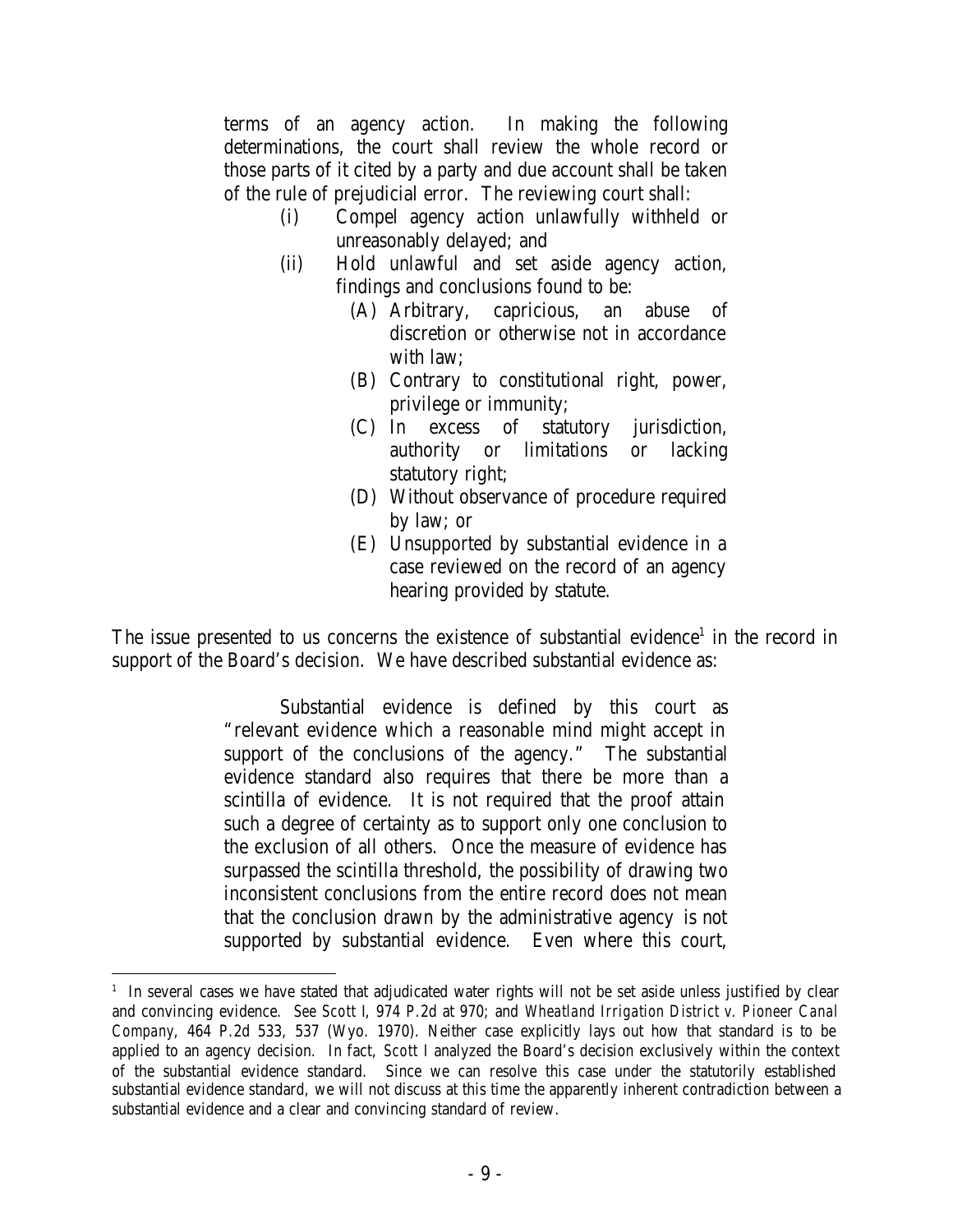terms of an agency action. In making the following determinations, the court shall review the whole record or those parts of it cited by a party and due account shall be taken of the rule of prejudicial error. The reviewing court shall:

- (i) Compel agency action unlawfully withheld or unreasonably delayed; and
- (ii) Hold unlawful and set aside agency action, findings and conclusions found to be:
	- (A) Arbitrary, capricious, an abuse of discretion or otherwise not in accordance with law;
	- (B) Contrary to constitutional right, power, privilege or immunity;
	- (C) In excess of statutory jurisdiction, authority or limitations or lacking statutory right;
	- (D) Without observance of procedure required by law; or
	- (E) Unsupported by substantial evidence in a case reviewed on the record of an agency hearing provided by statute.

The issue presented to us concerns the existence of substantial evidence<sup>1</sup> in the record in support of the Board's decision. We have described substantial evidence as:

> Substantial evidence is defined by this court as "relevant evidence which a reasonable mind might accept in support of the conclusions of the agency." The substantial evidence standard also requires that there be more than a scintilla of evidence. It is not required that the proof attain such a degree of certainty as to support only one conclusion to the exclusion of all others. Once the measure of evidence has surpassed the scintilla threshold, the possibility of drawing two inconsistent conclusions from the entire record does not mean that the conclusion drawn by the administrative agency is not supported by substantial evidence. Even where this court,

<sup>&</sup>lt;sup>1</sup> In several cases we have stated that adjudicated water rights will not be set aside unless justified by clear and convincing evidence. *See Scott I*, 974 P.2d at 970; and *Wheatland Irrigation District v. Pioneer Canal Company*, 464 P.2d 533, 537 (Wyo. 1970). Neither case explicitly lays out how that standard is to be applied to an agency decision. In fact, *Scott I* analyzed the Board's decision exclusively within the context of the substantial evidence standard. Since we can resolve this case under the statutorily established substantial evidence standard, we will not discuss at this time the apparently inherent contradiction between a substantial evidence and a clear and convincing standard of review.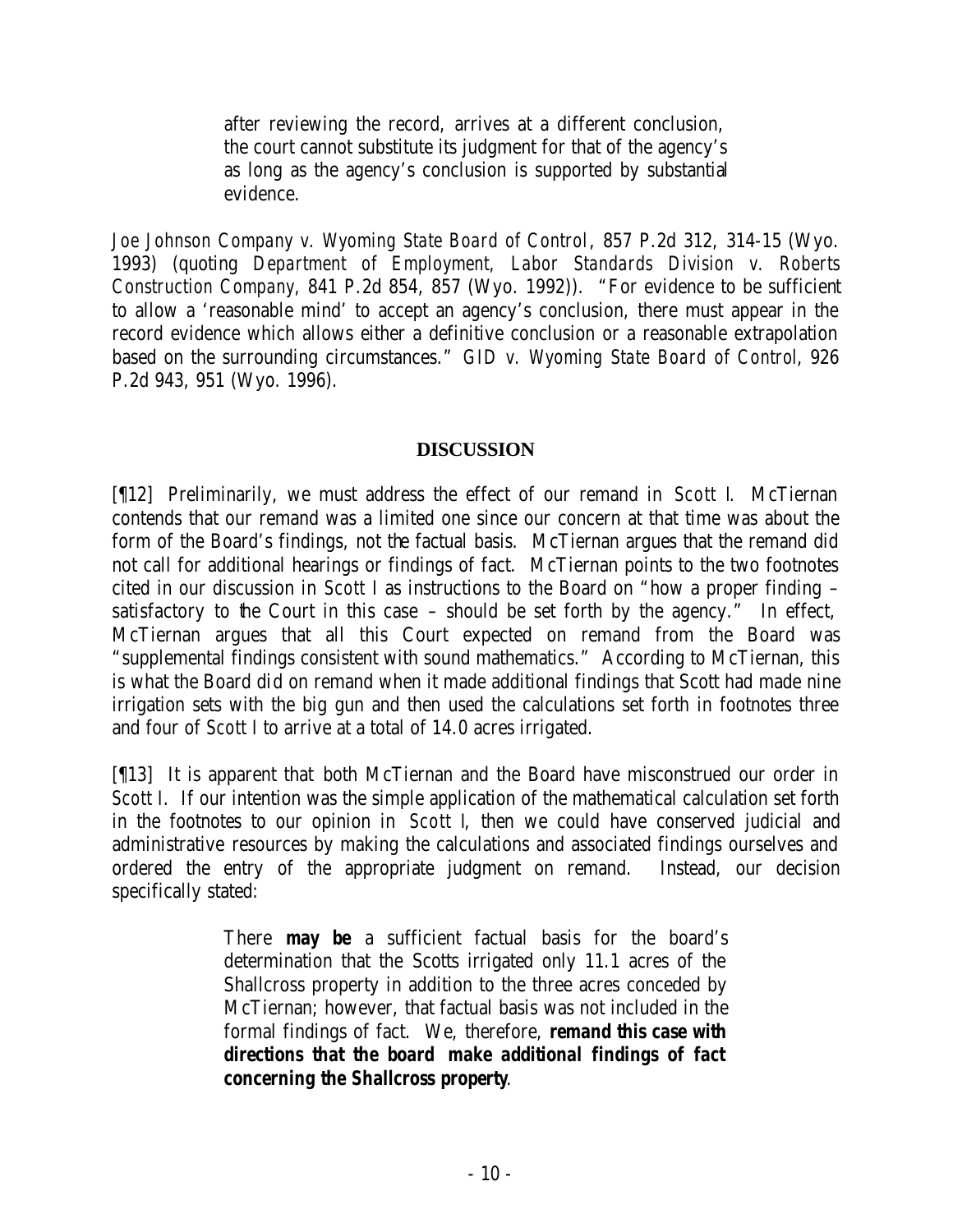after reviewing the record, arrives at a different conclusion, the court cannot substitute its judgment for that of the agency's as long as the agency's conclusion is supported by substantial evidence.

*Joe Johnson Company v. Wyoming State Board of Control*, 857 P.2d 312, 314-15 (Wyo. 1993) (quoting *Department of Employment, Labor Standards Division v. Roberts Construction Company,* 841 P.2d 854, 857 (Wyo. 1992)). "For evidence to be sufficient to allow a 'reasonable mind' to accept an agency's conclusion, there must appear in the record evidence which allows either a definitive conclusion or a reasonable extrapolation based on the surrounding circumstances." *GID v. Wyoming State Board of Control*, 926 P.2d 943, 951 (Wyo. 1996).

#### **DISCUSSION**

[¶12] Preliminarily, we must address the effect of our remand in *Scott I*. McTiernan contends that our remand was a limited one since our concern at that time was about the form of the Board's findings, not the factual basis. McTiernan argues that the remand did not call for additional hearings or findings of fact. McTiernan points to the two footnotes cited in our discussion in *Scott I* as instructions to the Board on "how a proper finding – satisfactory to the Court in this case  $-$  should be set forth by the agency." In effect, McTiernan argues that all this Court expected on remand from the Board was "supplemental findings consistent with sound mathematics." According to McTiernan, this is what the Board did on remand when it made additional findings that Scott had made nine irrigation sets with the big gun and then used the calculations set forth in footnotes three and four of *Scott I* to arrive at a total of 14.0 acres irrigated.

[¶13] It is apparent that both McTiernan and the Board have misconstrued our order in *Scott I*. If our intention was the simple application of the mathematical calculation set forth in the footnotes to our opinion in *Scott I*, then we could have conserved judicial and administrative resources by making the calculations and associated findings ourselves and ordered the entry of the appropriate judgment on remand. Instead, our decision specifically stated:

> There *may be* a sufficient factual basis for the board's determination that the Scotts irrigated only 11.1 acres of the Shallcross property in addition to the three acres conceded by McTiernan; however, that factual basis was not included in the formal findings of fact. We, therefore, *remand this case with directions that the board make additional findings of fact concerning the Shallcross property*.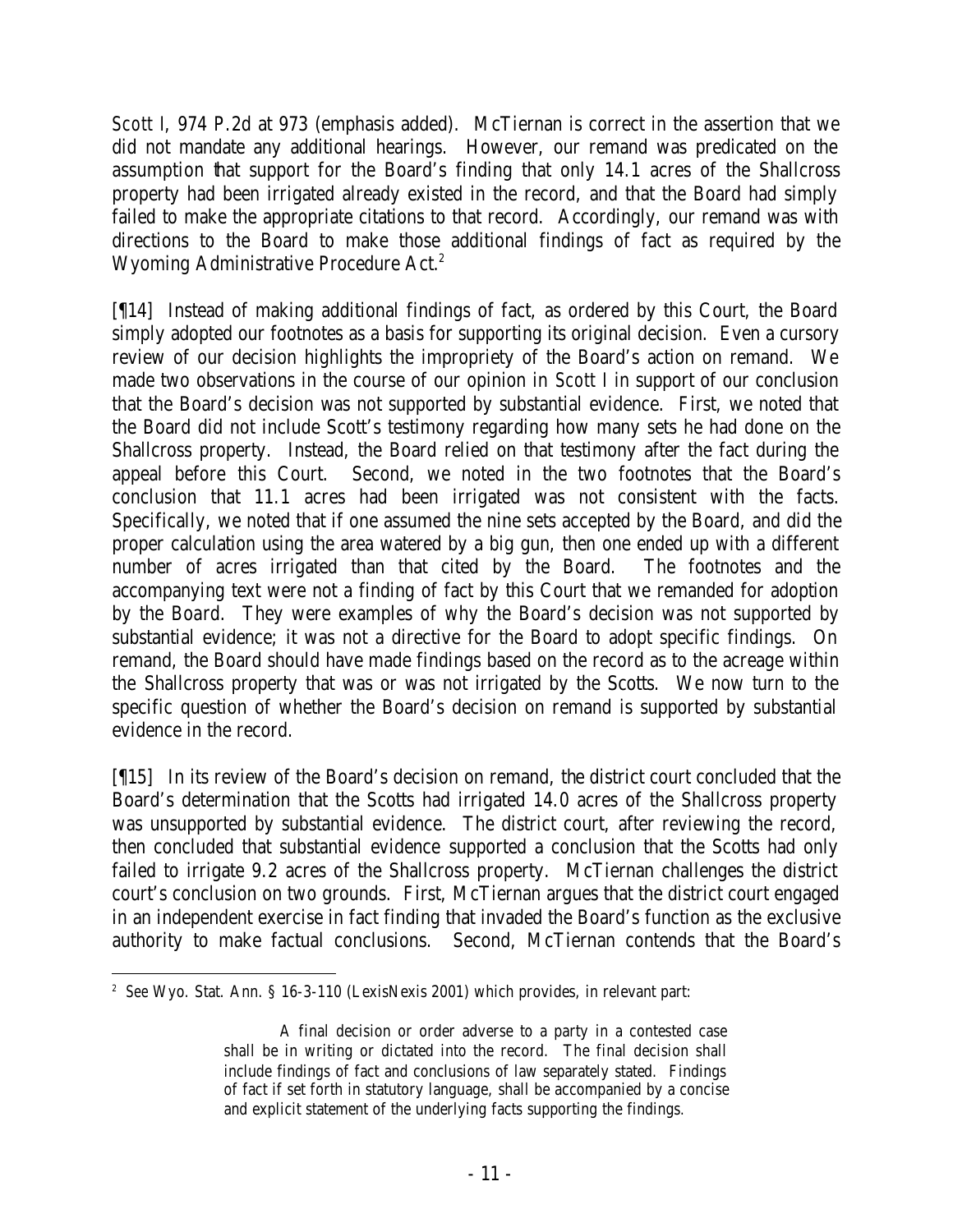*Scott I*, 974 P.2d at 973 (emphasis added). McTiernan is correct in the assertion that we did not mandate any additional hearings. However, our remand was predicated on the assumption that support for the Board's finding that only 14.1 acres of the Shallcross property had been irrigated already existed in the record, and that the Board had simply failed to make the appropriate citations to that record. Accordingly, our remand was with directions to the Board to make those additional findings of fact as required by the Wyoming Administrative Procedure Act.<sup>2</sup>

[¶14] Instead of making additional findings of fact, as ordered by this Court, the Board simply adopted our footnotes as a basis for supporting its original decision. Even a cursory review of our decision highlights the impropriety of the Board's action on remand. We made two observations in the course of our opinion in *Scott I* in support of our conclusion that the Board's decision was not supported by substantial evidence. First, we noted that the Board did not include Scott's testimony regarding how many sets he had done on the Shallcross property. Instead, the Board relied on that testimony after the fact during the appeal before this Court. Second, we noted in the two footnotes that the Board's conclusion that 11.1 acres had been irrigated was not consistent with the facts. Specifically, we noted that if one assumed the nine sets accepted by the Board, and did the proper calculation using the area watered by a big gun, then one ended up with a different number of acres irrigated than that cited by the Board. The footnotes and the accompanying text were not a finding of fact by this Court that we remanded for adoption by the Board. They were examples of why the Board's decision was not supported by substantial evidence; it was not a directive for the Board to adopt specific findings. On remand, the Board should have made findings based on the record as to the acreage within the Shallcross property that was or was not irrigated by the Scotts. We now turn to the specific question of whether the Board's decision on remand is supported by substantial evidence in the record.

[¶15] In its review of the Board's decision on remand, the district court concluded that the Board's determination that the Scotts had irrigated 14.0 acres of the Shallcross property was unsupported by substantial evidence. The district court, after reviewing the record, then concluded that substantial evidence supported a conclusion that the Scotts had only failed to irrigate 9.2 acres of the Shallcross property. McTiernan challenges the district court's conclusion on two grounds. First, McTiernan argues that the district court engaged in an independent exercise in fact finding that invaded the Board's function as the exclusive authority to make factual conclusions. Second, McTiernan contends that the Board's

 2 *See* Wyo. Stat. Ann. § 16-3-110 (LexisNexis 2001) which provides, in relevant part:

A final decision or order adverse to a party in a contested case shall be in writing or dictated into the record. The final decision shall include findings of fact and conclusions of law separately stated. Findings of fact if set forth in statutory language, shall be accompanied by a concise and explicit statement of the underlying facts supporting the findings.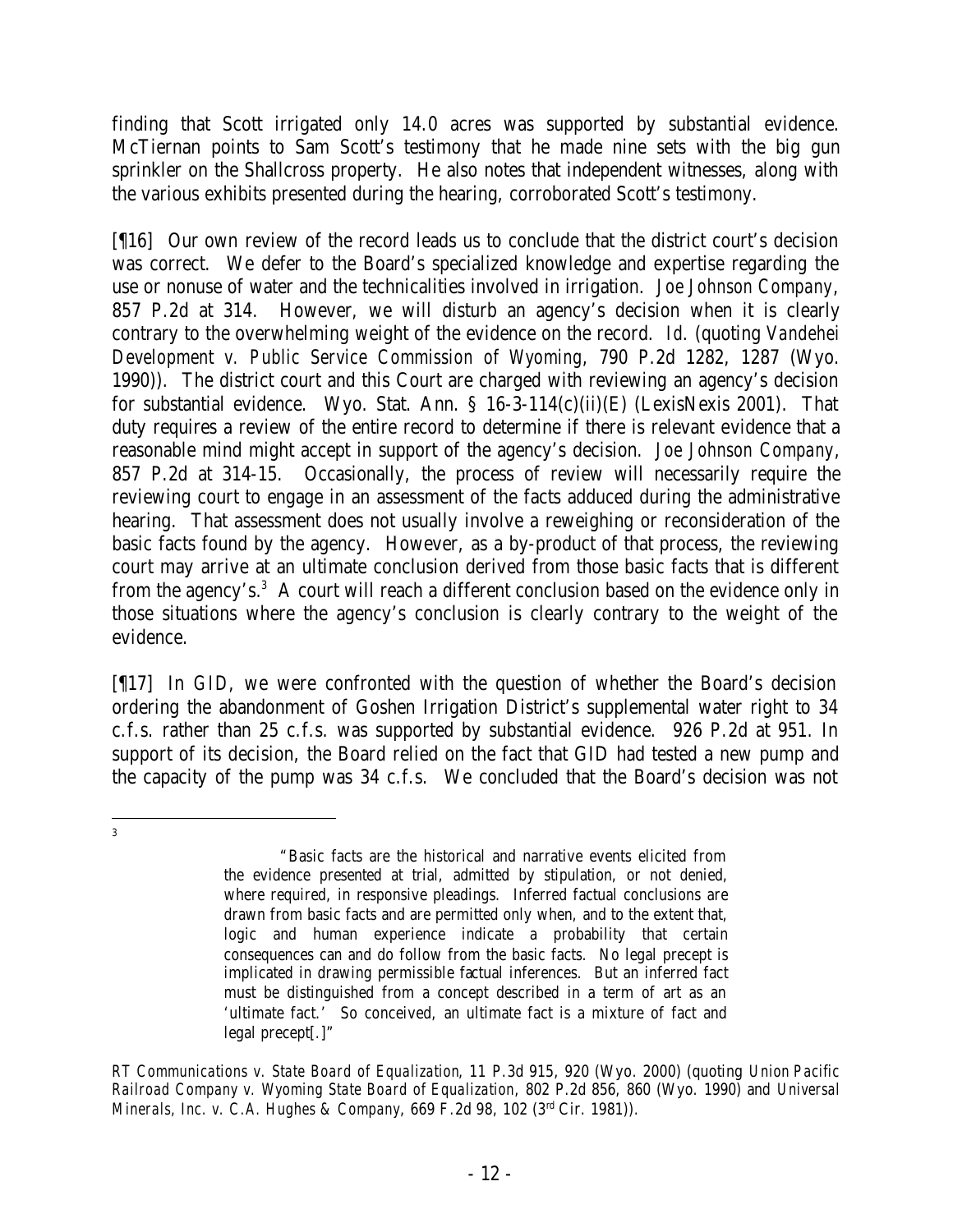finding that Scott irrigated only 14.0 acres was supported by substantial evidence. McTiernan points to Sam Scott's testimony that he made nine sets with the big gun sprinkler on the Shallcross property. He also notes that independent witnesses, along with the various exhibits presented during the hearing, corroborated Scott's testimony.

[¶16] Our own review of the record leads us to conclude that the district court's decision was correct. We defer to the Board's specialized knowledge and expertise regarding the use or nonuse of water and the technicalities involved in irrigation. *Joe Johnson Company*, 857 P.2d at 314. However, we will disturb an agency's decision when it is clearly contrary to the overwhelming weight of the evidence on the record. *Id*. (quoting *Vandehei Development v. Public Service Commission of Wyoming*, 790 P.2d 1282, 1287 (Wyo. 1990)). The district court and this Court are charged with reviewing an agency's decision for substantial evidence. Wyo. Stat. Ann. § 16-3-114(c)(ii)(E) (LexisNexis 2001). That duty requires a review of the entire record to determine if there is relevant evidence that a reasonable mind might accept in support of the agency's decision. *Joe Johnson Company*, 857 P.2d at 314-15. Occasionally, the process of review will necessarily require the reviewing court to engage in an assessment of the facts adduced during the administrative hearing. That assessment does not usually involve a reweighing or reconsideration of the basic facts found by the agency. However, as a by-product of that process, the reviewing court may arrive at an ultimate conclusion derived from those basic facts that is different from the agency's.<sup>3</sup> A court will reach a different conclusion based on the evidence only in those situations where the agency's conclusion is clearly contrary to the weight of the evidence.

[¶17] In *GID*, we were confronted with the question of whether the Board's decision ordering the abandonment of Goshen Irrigation District's supplemental water right to 34 c.f.s. rather than 25 c.f.s. was supported by substantial evidence. 926 P.2d at 951. In support of its decision, the Board relied on the fact that GID had tested a new pump and the capacity of the pump was 34 c.f.s. We concluded that the Board's decision was not

 3

<sup>&</sup>quot;Basic facts are the historical and narrative events elicited from the evidence presented at trial, admitted by stipulation, or not denied, where required, in responsive pleadings. Inferred factual conclusions are drawn from basic facts and are permitted only when, and to the extent that, logic and human experience indicate a probability that certain consequences can and do follow from the basic facts. No legal precept is implicated in drawing permissible factual inferences. But an inferred fact must be distinguished from a concept described in a term of art as an 'ultimate fact.' So conceived, an ultimate fact is a mixture of fact and legal precept[.]"

*RT Communications v. State Board of Equalization*, 11 P.3d 915, 920 (Wyo. 2000) (quoting *Union Pacific Railroad Company v. Wyoming State Board of Equalization*, 802 P.2d 856, 860 (Wyo. 1990) and *Universal Minerals, Inc. v. C.A. Hughes & Company*, 669 F.2d 98, 102 (3rd Cir. 1981)).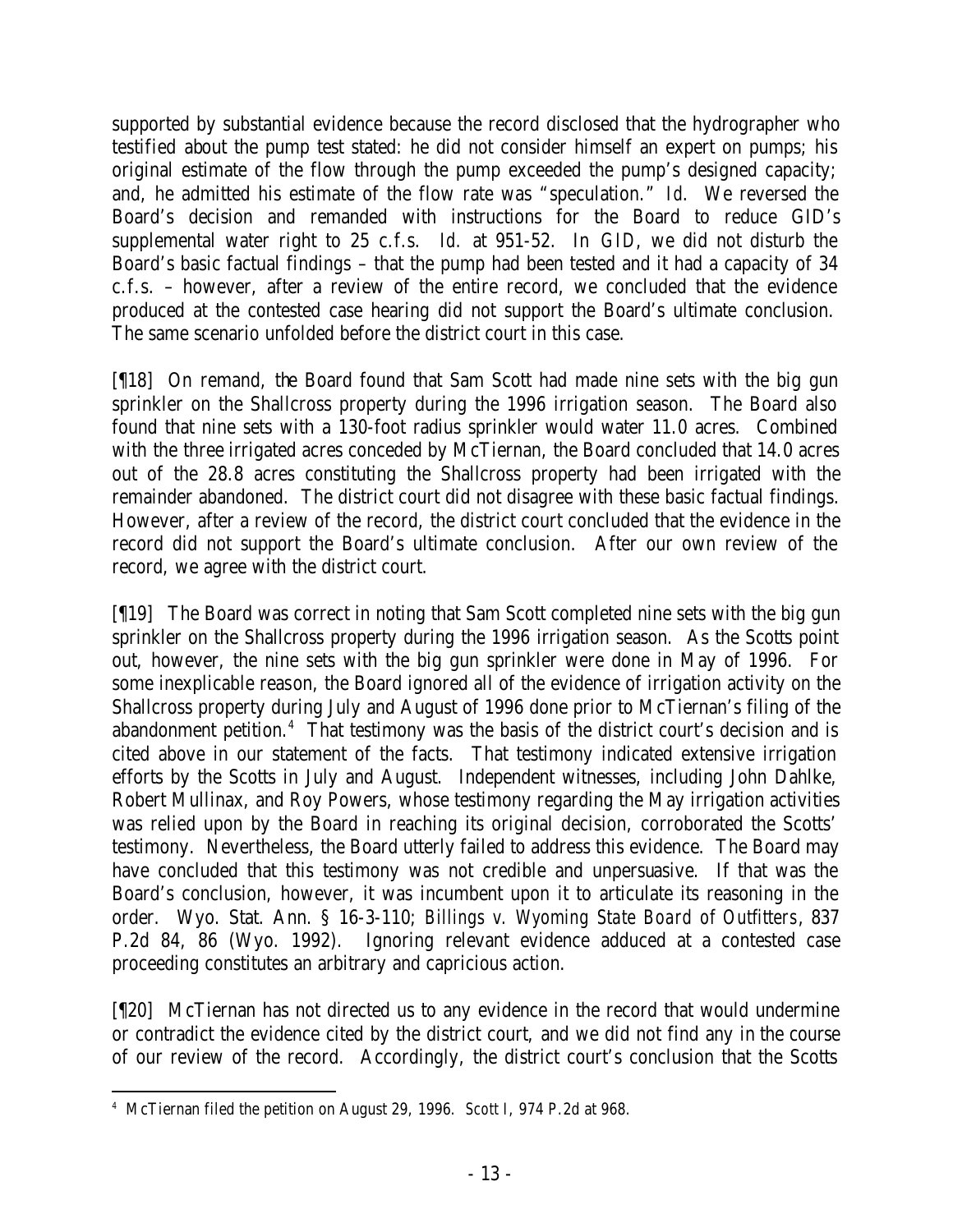supported by substantial evidence because the record disclosed that the hydrographer who testified about the pump test stated: he did not consider himself an expert on pumps; his original estimate of the flow through the pump exceeded the pump's designed capacity; and, he admitted his estimate of the flow rate was "speculation." *Id*. We reversed the Board's decision and remanded with instructions for the Board to reduce GID's supplemental water right to 25 c.f.s. *Id.* at 951-52. In *GID*, we did not disturb the Board's basic factual findings – that the pump had been tested and it had a capacity of 34 c.f.s. – however, after a review of the entire record, we concluded that the evidence produced at the contested case hearing did not support the Board's ultimate conclusion. The same scenario unfolded before the district court in this case.

[¶18] On remand, the Board found that Sam Scott had made nine sets with the big gun sprinkler on the Shallcross property during the 1996 irrigation season. The Board also found that nine sets with a 130-foot radius sprinkler would water 11.0 acres. Combined with the three irrigated acres conceded by McTiernan, the Board concluded that 14.0 acres out of the 28.8 acres constituting the Shallcross property had been irrigated with the remainder abandoned. The district court did not disagree with these basic factual findings. However, after a review of the record, the district court concluded that the evidence in the record did not support the Board's ultimate conclusion. After our own review of the record, we agree with the district court.

[¶19] The Board was correct in noting that Sam Scott completed nine sets with the big gun sprinkler on the Shallcross property during the 1996 irrigation season. As the Scotts point out, however, the nine sets with the big gun sprinkler were done in May of 1996. For some inexplicable reason, the Board ignored all of the evidence of irrigation activity on the Shallcross property during July and August of 1996 done prior to McTiernan's filing of the abandonment petition.<sup>4</sup> That testimony was the basis of the district court's decision and is cited above in our statement of the facts. That testimony indicated extensive irrigation efforts by the Scotts in July and August. Independent witnesses, including John Dahlke, Robert Mullinax, and Roy Powers, whose testimony regarding the May irrigation activities was relied upon by the Board in reaching its original decision, corroborated the Scotts' testimony. Nevertheless, the Board utterly failed to address this evidence. The Board may have concluded that this testimony was not credible and unpersuasive. If that was the Board's conclusion, however, it was incumbent upon it to articulate its reasoning in the order. Wyo. Stat. Ann. § 16-3-110; *Billings v. Wyoming State Board of Outfitters*, 837 P.2d 84, 86 (Wyo. 1992). Ignoring relevant evidence adduced at a contested case proceeding constitutes an arbitrary and capricious action.

[¶20] McTiernan has not directed us to any evidence in the record that would undermine or contradict the evidence cited by the district court, and we did not find any in the course of our review of the record. Accordingly, the district court's conclusion that the Scotts

 4 McTiernan filed the petition on August 29, 1996. *Scott I*, 974 P.2d at 968.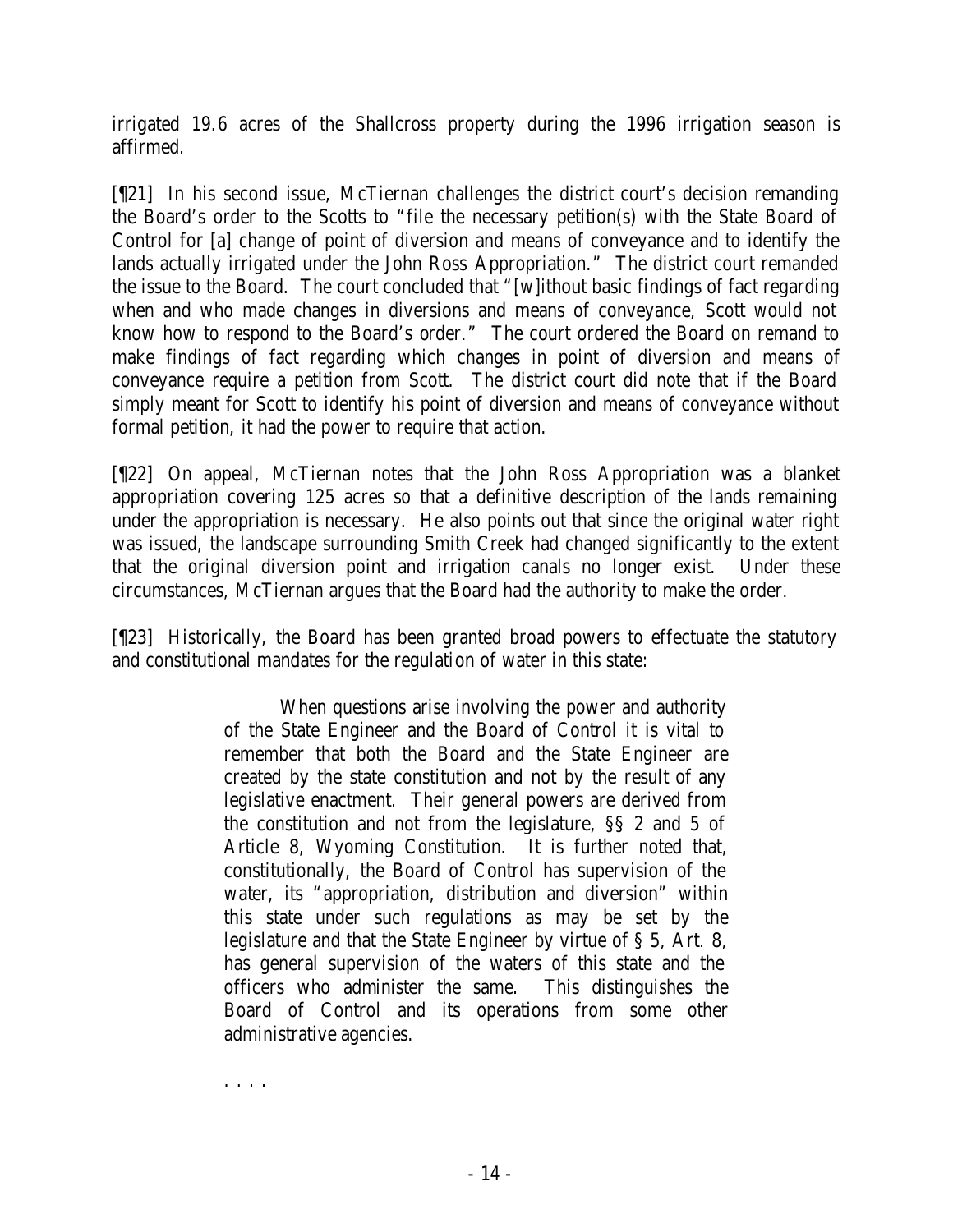irrigated 19.6 acres of the Shallcross property during the 1996 irrigation season is affirmed.

[¶21] In his second issue, McTiernan challenges the district court's decision remanding the Board's order to the Scotts to "file the necessary petition(s) with the State Board of Control for [a] change of point of diversion and means of conveyance and to identify the lands actually irrigated under the John Ross Appropriation." The district court remanded the issue to the Board. The court concluded that "[w]ithout basic findings of fact regarding when and who made changes in diversions and means of conveyance, Scott would not know how to respond to the Board's order." The court ordered the Board on remand to make findings of fact regarding which changes in point of diversion and means of conveyance require a petition from Scott. The district court did note that if the Board simply meant for Scott to identify his point of diversion and means of conveyance without formal petition, it had the power to require that action.

[¶22] On appeal, McTiernan notes that the John Ross Appropriation was a blanket appropriation covering 125 acres so that a definitive description of the lands remaining under the appropriation is necessary. He also points out that since the original water right was issued, the landscape surrounding Smith Creek had changed significantly to the extent that the original diversion point and irrigation canals no longer exist. Under these circumstances, McTiernan argues that the Board had the authority to make the order.

[¶23] Historically, the Board has been granted broad powers to effectuate the statutory and constitutional mandates for the regulation of water in this state:

> When questions arise involving the power and authority of the State Engineer and the Board of Control it is vital to remember that both the Board and the State Engineer are created by the state constitution and not by the result of any legislative enactment. Their general powers are derived from the constitution and not from the legislature, §§ 2 and 5 of Article 8, Wyoming Constitution. It is further noted that, constitutionally, the Board of Control has supervision of the water, its "appropriation, distribution and diversion" within this state under such regulations as may be set by the legislature and that the State Engineer by virtue of § 5, Art. 8, has general supervision of the waters of this state and the officers who administer the same. This distinguishes the Board of Control and its operations from some other administrative agencies.

. . . .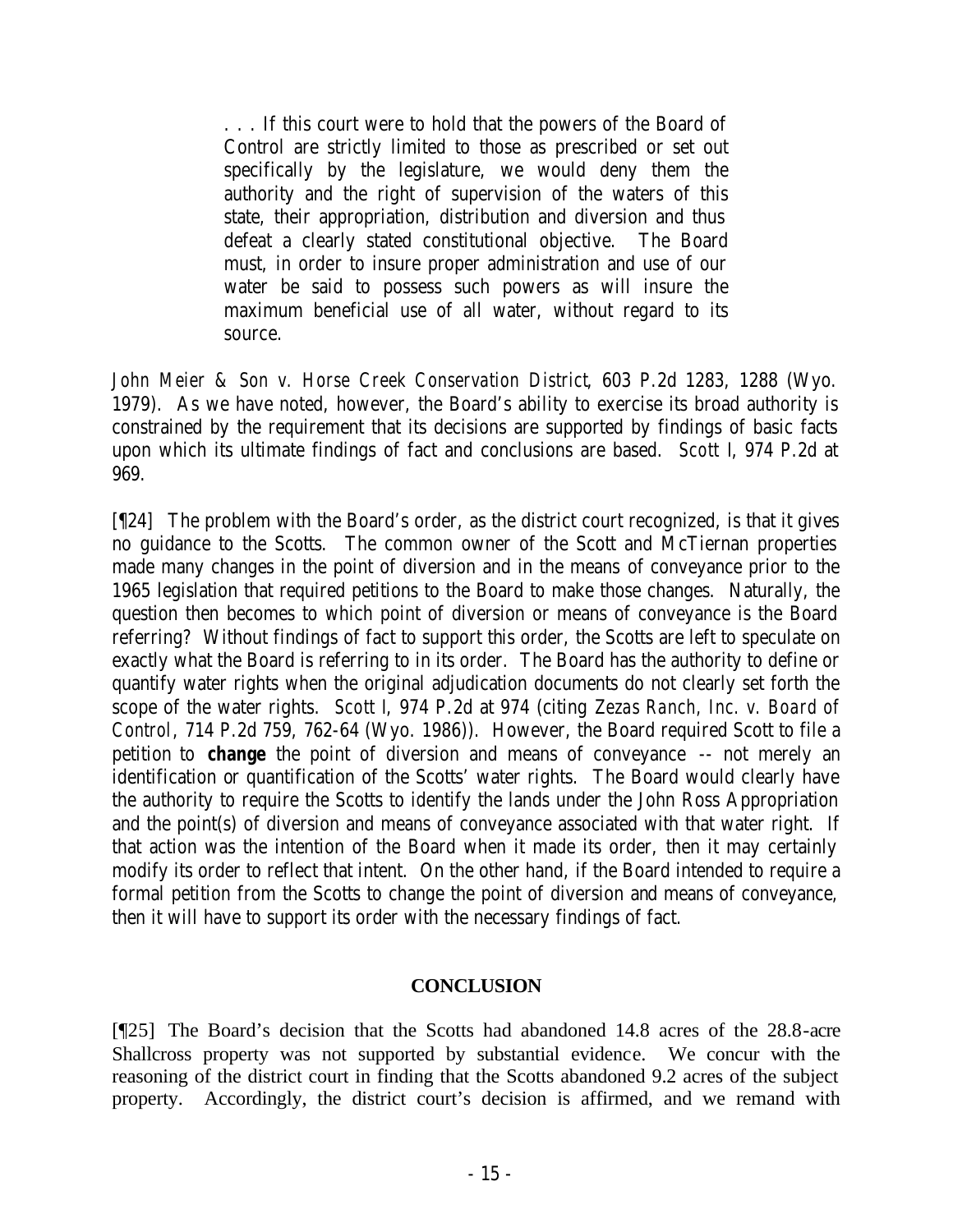. . . If this court were to hold that the powers of the Board of Control are strictly limited to those as prescribed or set out specifically by the legislature, we would deny them the authority and the right of supervision of the waters of this state, their appropriation, distribution and diversion and thus defeat a clearly stated constitutional objective. The Board must, in order to insure proper administration and use of our water be said to possess such powers as will insure the maximum beneficial use of all water, without regard to its source.

*John Meier & Son v. Horse Creek Conservation District*, 603 P.2d 1283, 1288 (Wyo. 1979). As we have noted, however, the Board's ability to exercise its broad authority is constrained by the requirement that its decisions are supported by findings of basic facts upon which its ultimate findings of fact and conclusions are based. *Scott I*, 974 P.2d at 969.

[¶24] The problem with the Board's order, as the district court recognized, is that it gives no guidance to the Scotts. The common owner of the Scott and McTiernan properties made many changes in the point of diversion and in the means of conveyance prior to the 1965 legislation that required petitions to the Board to make those changes. Naturally, the question then becomes to which point of diversion or means of conveyance is the Board referring? Without findings of fact to support this order, the Scotts are left to speculate on exactly what the Board is referring to in its order. The Board has the authority to define or quantify water rights when the original adjudication documents do not clearly set forth the scope of the water rights. *Scott I*, 974 P.2d at 974 (citing *Zezas Ranch, Inc. v. Board of Control*, 714 P.2d 759, 762-64 (Wyo. 1986)). However, the Board required Scott to file a petition to *change* the point of diversion and means of conveyance -- not merely an identification or quantification of the Scotts' water rights. The Board would clearly have the authority to require the Scotts to identify the lands under the John Ross Appropriation and the point(s) of diversion and means of conveyance associated with that water right. If that action was the intention of the Board when it made its order, then it may certainly modify its order to reflect that intent. On the other hand, if the Board intended to require a formal petition from the Scotts to change the point of diversion and means of conveyance, then it will have to support its order with the necessary findings of fact.

## **CONCLUSION**

[¶25] The Board's decision that the Scotts had abandoned 14.8 acres of the 28.8-acre Shallcross property was not supported by substantial evidence. We concur with the reasoning of the district court in finding that the Scotts abandoned 9.2 acres of the subject property. Accordingly, the district court's decision is affirmed, and we remand with